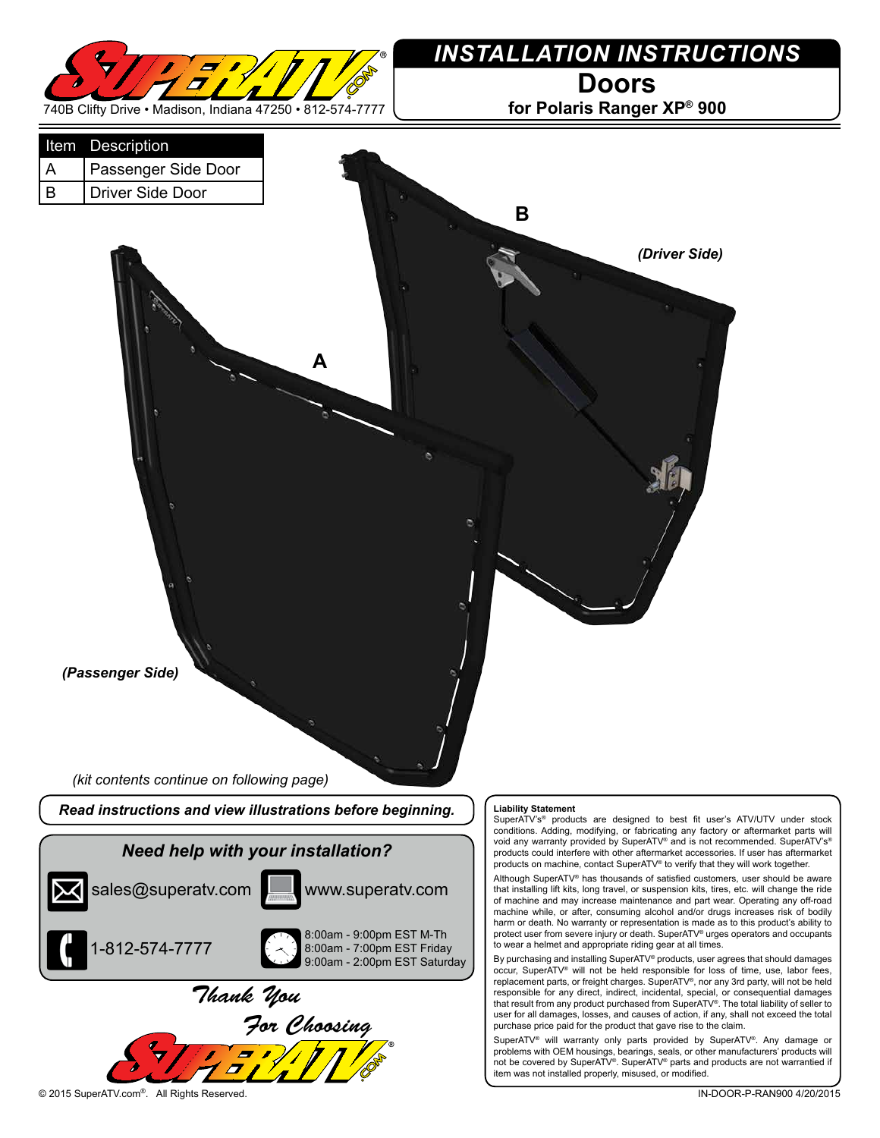

## *INSTALLATION INSTRUCTIONS* **Doors**

**for Polaris Ranger XP® 900**



© 2015 SuperATV.com®. All Rights Reserved. IN-DOOR-P-RAN900 4/20/2015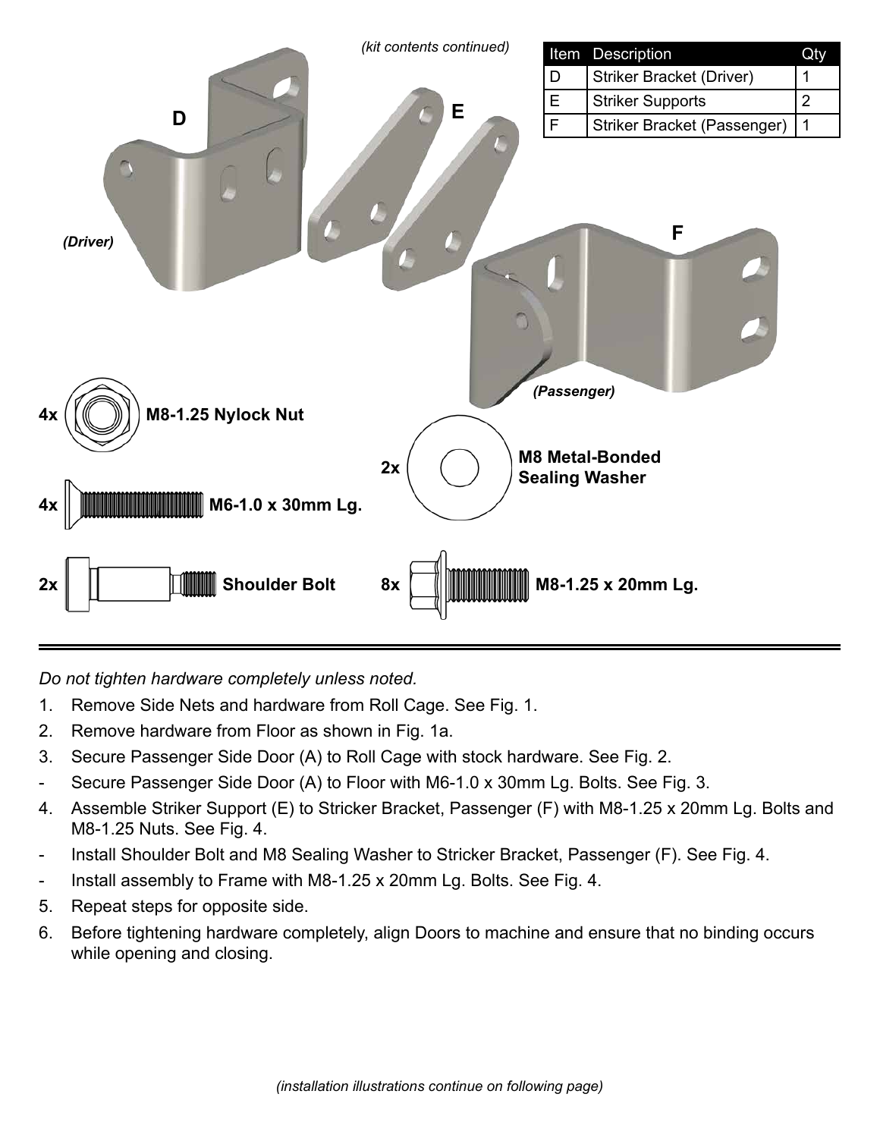

*Do not tighten hardware completely unless noted.*

- 1. Remove Side Nets and hardware from Roll Cage. See Fig. 1.
- 2. Remove hardware from Floor as shown in Fig. 1a.
- 3. Secure Passenger Side Door (A) to Roll Cage with stock hardware. See Fig. 2.
- Secure Passenger Side Door (A) to Floor with M6-1.0 x 30mm Lg. Bolts. See Fig. 3.
- 4. Assemble Striker Support (E) to Stricker Bracket, Passenger (F) with M8-1.25 x 20mm Lg. Bolts and M8-1.25 Nuts. See Fig. 4.
- Install Shoulder Bolt and M8 Sealing Washer to Stricker Bracket, Passenger (F). See Fig. 4.
- Install assembly to Frame with M8-1.25 x 20mm Lg. Bolts. See Fig. 4.
- 5. Repeat steps for opposite side.
- 6. Before tightening hardware completely, align Doors to machine and ensure that no binding occurs while opening and closing.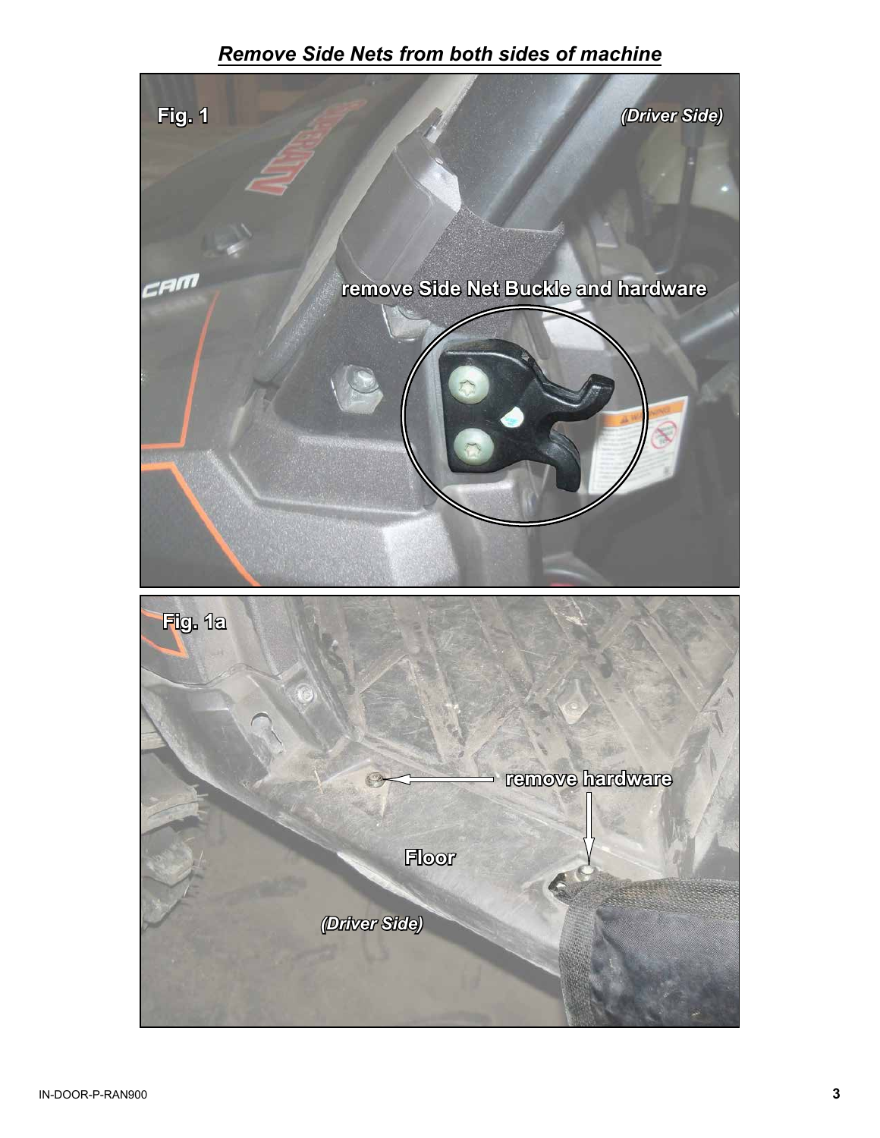## *Remove Side Nets from both sides of machine*

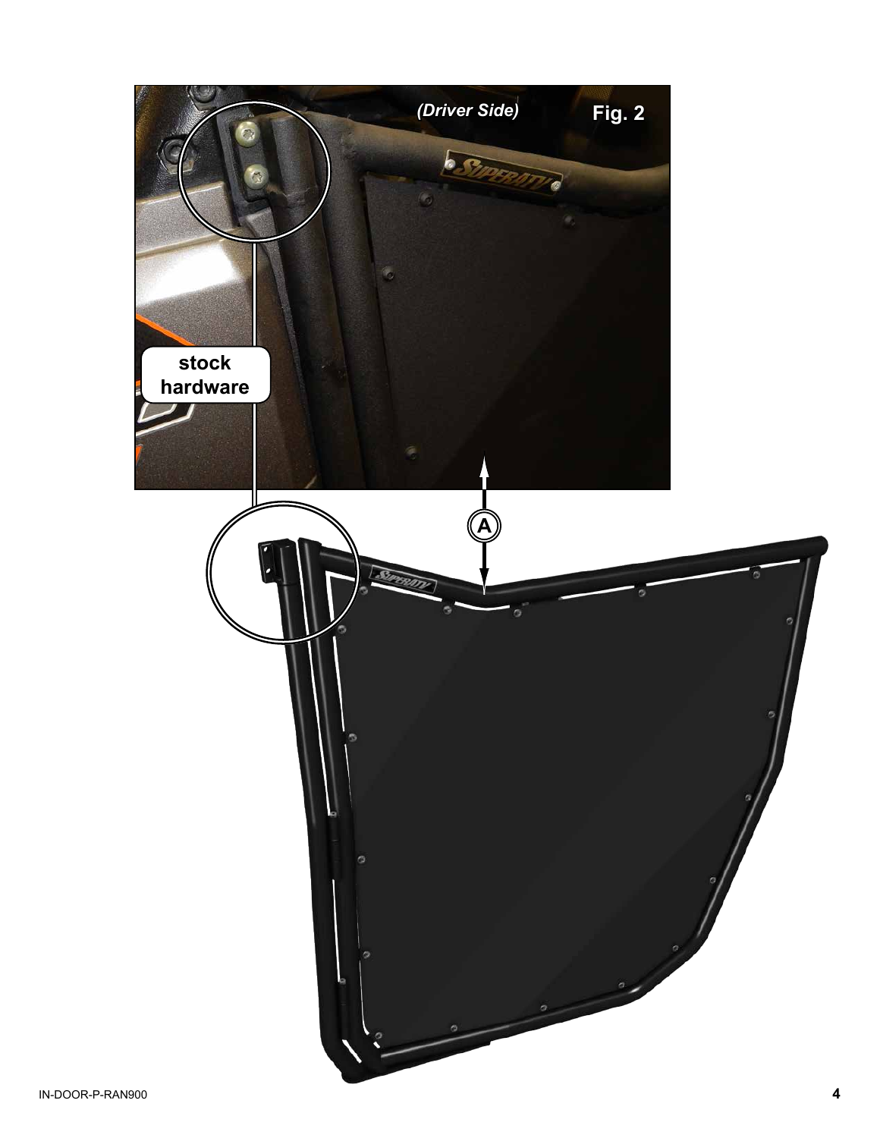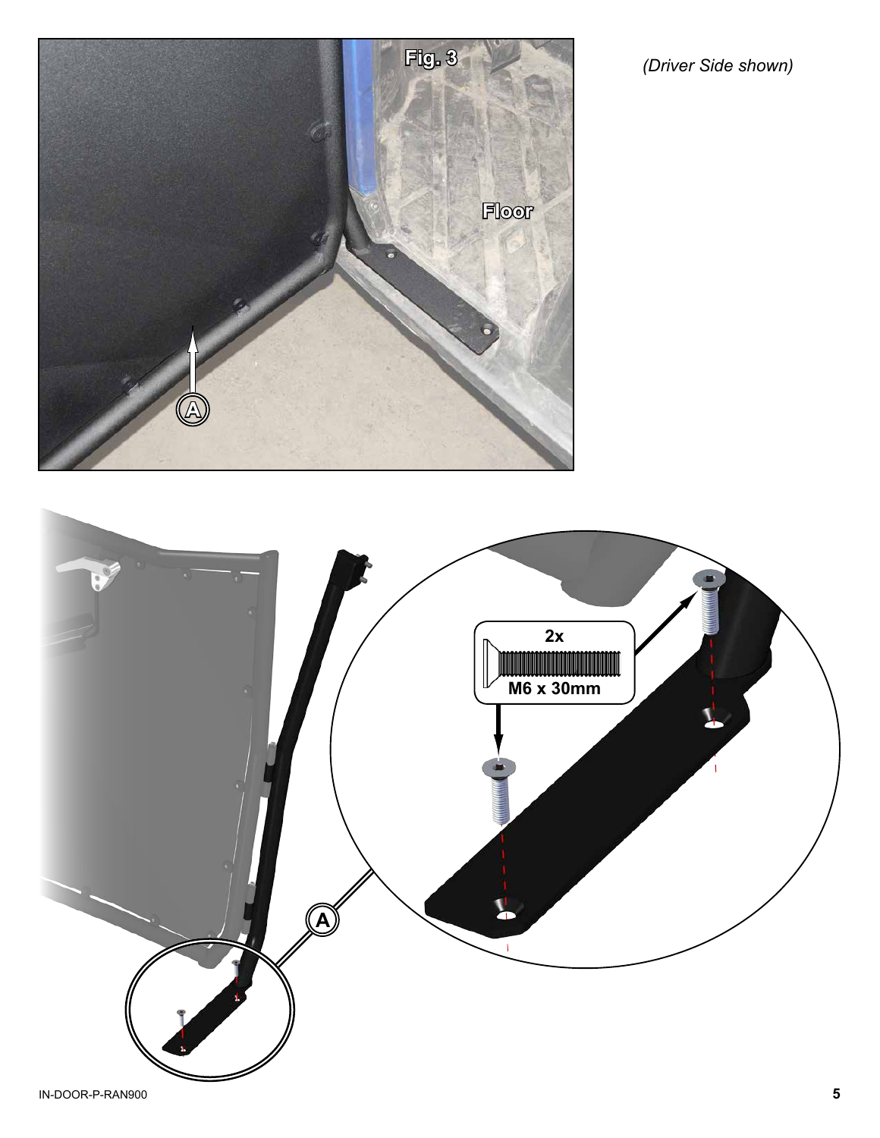

*(Driver Side shown)*